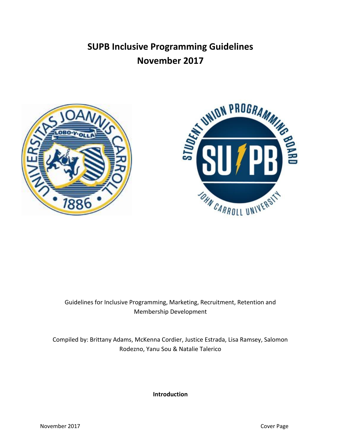# **SUPB Inclusive Programming Guidelines November 2017**





## Guidelines for Inclusive Programming, Marketing, Recruitment, Retention and Membership Development

Compiled by: Brittany Adams, McKenna Cordier, Justice Estrada, Lisa Ramsey, Salomon Rodezno, Yanu Sou & Natalie Talerico

**Introduction**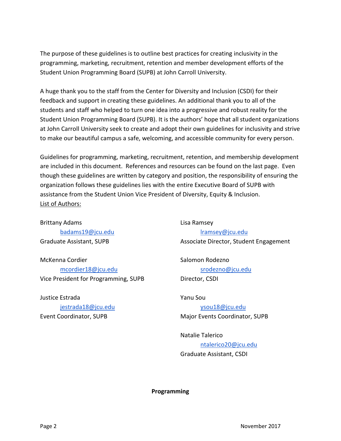The purpose of these guidelines is to outline best practices for creating inclusivity in the programming, marketing, recruitment, retention and member development efforts of the Student Union Programming Board (SUPB) at John Carroll University.

A huge thank you to the staff from the Center for Diversity and Inclusion (CSDI) for their feedback and support in creating these guidelines. An additional thank you to all of the students and staff who helped to turn one idea into a progressive and robust reality for the Student Union Programming Board (SUPB). It is the authors' hope that all student organizations at John Carroll University seek to create and adopt their own guidelines for inclusivity and strive to make our beautiful campus a safe, welcoming, and accessible community for every person.

Guidelines for programming, marketing, recruitment, retention, and membership development are included in this document. References and resources can be found on the last page. Even though these guidelines are written by category and position, the responsibility of ensuring the organization follows these guidelines lies with the entire Executive Board of SUPB with assistance from the Student Union Vice President of Diversity, Equity & Inclusion. List of Authors:

Brittany Adams [badams19@jcu.edu](mailto:badams19@jcu.edu) Graduate Assistant, SUPB

McKenna Cordier [mcordier18@jcu.edu](mailto:mcordier18@jcu.edu) Vice President for Programming, SUPB

Justice Estrada [jestrada18@jcu.edu](mailto:jestrada18@jcu.edu)

Event Coordinator, SUPB

Lisa Ramsey [lramsey@jcu.edu](mailto:lramsey@jcu.edu) Associate Director, Student Engagement

Salomon Rodezno [srodezno@jcu.edu](mailto:srodezno@jcu.edu) Director, CSDI

#### Yanu Sou

[ysou18@jcu.edu](mailto:ysou18@jcu.edu) Major Events Coordinator, SUPB

Natalie Talerico [ntalerico20@jcu.edu](mailto:ntalerico20@jcu.edu) Graduate Assistant, CSDI

**Programming**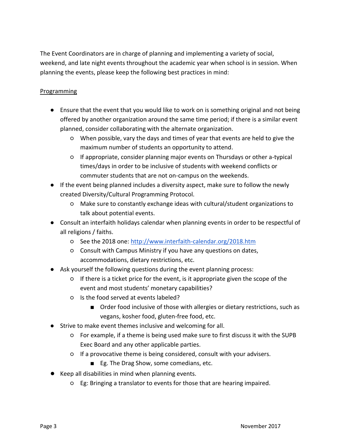The Event Coordinators are in charge of planning and implementing a variety of social, weekend, and late night events throughout the academic year when school is in session. When planning the events, please keep the following best practices in mind:

### **Programming**

- Ensure that the event that you would like to work on is something original and not being offered by another organization around the same time period; if there is a similar event planned, consider collaborating with the alternate organization.
	- When possible, vary the days and times of year that events are held to give the maximum number of students an opportunity to attend.
	- If appropriate, consider planning major events on Thursdays or other a-typical times/days in order to be inclusive of students with weekend conflicts or commuter students that are not on-campus on the weekends.
- If the event being planned includes a diversity aspect, make sure to follow the newly created Diversity/Cultural Programming Protocol.
	- Make sure to constantly exchange ideas with cultural/student organizations to talk about potential events.
- Consult an interfaith holidays calendar when planning events in order to be respectful of all religions / faiths.
	- See the 2018 one[: http://www.interfaith-calendar.org/2018.htm](http://www.interfaith-calendar.org/2018.htm)
	- Consult with Campus Ministry if you have any questions on dates, accommodations, dietary restrictions, etc.
- Ask yourself the following questions during the event planning process:
	- If there is a ticket price for the event, is it appropriate given the scope of the event and most students' monetary capabilities?
	- Is the food served at events labeled?
		- Order food inclusive of those with allergies or dietary restrictions, such as vegans, kosher food, gluten-free food, etc.
- Strive to make event themes inclusive and welcoming for all.
	- For example, if a theme is being used make sure to first discuss it with the SUPB Exec Board and any other applicable parties.
	- If a provocative theme is being considered, consult with your advisers.
		- Eg. The Drag Show, some comedians, etc.
- Keep all disabilities in mind when planning events.
	- Eg: Bringing a translator to events for those that are hearing impaired.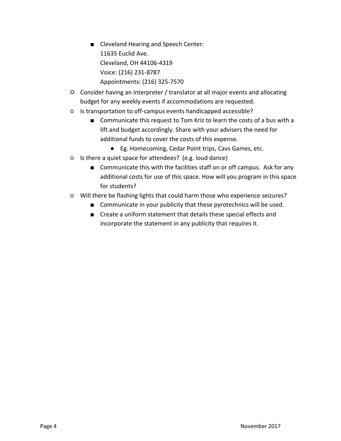- Cleveland Hearing and Speech Center: 11635 Euclid Ave. Cleveland, OH 44106-4319 Voice: (216) 231-8787 Appointments: (216) 325-7570
- Consider having an interpreter / translator at all major events and allocating budget for any weekly events if accommodations are requested.
- Is transportation to off-campus events handicapped accessible?
	- Communicate this request to Tom Kriz to learn the costs of a bus with a lift and budget accordingly. Share with your advisers the need for additional funds to cover the costs of this expense.
		- Eg. Homecoming, Cedar Point trips, Cavs Games, etc.
- Is there a quiet space for attendees? (e.g. loud dance)
	- Communicate this with the facilities staff on or off campus. Ask for any additional costs for use of this space. How will you program in this space for students?
- Will there be flashing lights that could harm those who experience seizures?
	- Communicate in your publicity that these pyrotechnics will be used.
	- Create a uniform statement that details these special effects and incorporate the statement in any publicity that requires it.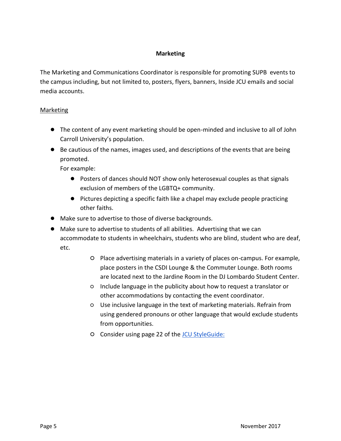#### **Marketing**

The Marketing and Communications Coordinator is responsible for promoting SUPB events to the campus including, but not limited to, posters, flyers, banners, Inside JCU emails and social media accounts.

#### **Marketing**

- The content of any event marketing should be open-minded and inclusive to all of John Carroll University's population.
- Be cautious of the names, images used, and descriptions of the events that are being promoted.

For example:

- Posters of dances should NOT show only heterosexual couples as that signals exclusion of members of the LGBTQ+ community.
- Pictures depicting a specific faith like a chapel may exclude people practicing other faiths.
- Make sure to advertise to those of diverse backgrounds.
- Make sure to advertise to students of all abilities. Advertising that we can accommodate to students in wheelchairs, students who are blind, student who are deaf, etc.
	- Place advertising materials in a variety of places on-campus. For example, place posters in the CSDI Lounge & the Commuter Lounge. Both rooms are located next to the Jardine Room in the DJ Lombardo Student Center.
	- Include language in the publicity about how to request a translator or other accommodations by contacting the event coordinator.
	- Use inclusive language in the text of marketing materials. Refrain from using gendered pronouns or other language that would exclude students from opportunities.
	- O Consider using page 22 of the **JCU StyleGuide:**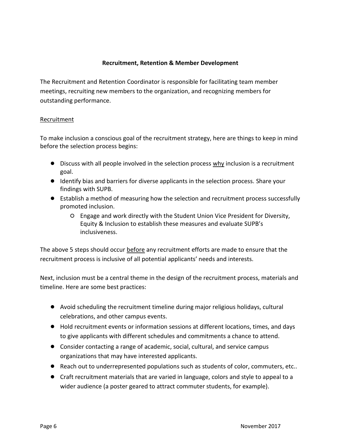#### **Recruitment, Retention & Member Development**

The Recruitment and Retention Coordinator is responsible for facilitating team member meetings, recruiting new members to the organization, and recognizing members for outstanding performance.

#### **Recruitment**

To make inclusion a conscious goal of the recruitment strategy, here are things to keep in mind before the selection process begins:

- Discuss with all people involved in the selection process why inclusion is a recruitment goal.
- Identify bias and barriers for diverse applicants in the selection process. Share your findings with SUPB.
- Establish a method of measuring how the selection and recruitment process successfully promoted inclusion.
	- Engage and work directly with the Student Union Vice President for Diversity, Equity & Inclusion to establish these measures and evaluate SUPB's inclusiveness.

The above 5 steps should occur **before** any recruitment efforts are made to ensure that the recruitment process is inclusive of all potential applicants' needs and interests.

Next, inclusion must be a central theme in the design of the recruitment process, materials and timeline. Here are some best practices:

- Avoid scheduling the recruitment timeline during major religious holidays, cultural celebrations, and other campus events.
- Hold recruitment events or information sessions at different locations, times, and days to give applicants with different schedules and commitments a chance to attend.
- Consider contacting a range of academic, social, cultural, and service campus organizations that may have interested applicants.
- Reach out to underrepresented populations such as students of color, commuters, etc..
- Craft recruitment materials that are varied in language, colors and style to appeal to a wider audience (a poster geared to attract commuter students, for example).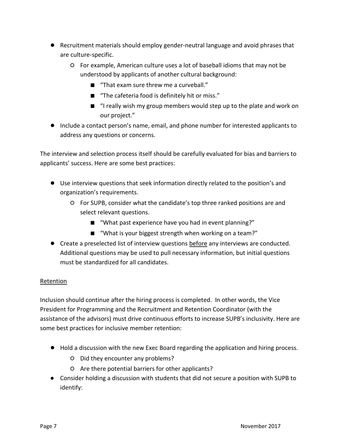- Recruitment materials should employ gender-neutral language and avoid phrases that are culture-specific.
	- For example, American culture uses a lot of baseball idioms that may not be understood by applicants of another cultural background:
		- "That exam sure threw me a curveball."
		- "The cafeteria food is definitely hit or miss."
		- "I really wish my group members would step up to the plate and work on our project."
- Include a contact person's name, email, and phone number for interested applicants to address any questions or concerns.

The interview and selection process itself should be carefully evaluated for bias and barriers to applicants' success. Here are some best practices:

- Use interview questions that seek information directly related to the position's and organization's requirements.
	- For SUPB, consider what the candidate's top three ranked positions are and select relevant questions.
		- "What past experience have you had in event planning?"
		- "What is your biggest strength when working on a team?"
- Create a preselected list of interview questions before any interviews are conducted. Additional questions may be used to pull necessary information, but initial questions must be standardized for all candidates.

#### Retention

Inclusion should continue after the hiring process is completed. In other words, the Vice President for Programming and the Recruitment and Retention Coordinator (with the assistance of the advisors) must drive continuous efforts to increase SUPB's inclusivity. Here are some best practices for inclusive member retention:

- Hold a discussion with the new Exec Board regarding the application and hiring process.
	- Did they encounter any problems?
	- Are there potential barriers for other applicants?
- Consider holding a discussion with students that did not secure a position with SUPB to identify: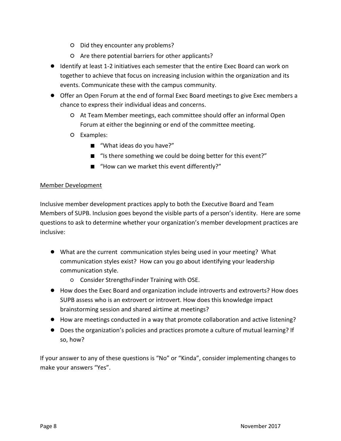- Did they encounter any problems?
- Are there potential barriers for other applicants?
- Identify at least 1-2 initiatives each semester that the entire Exec Board can work on together to achieve that focus on increasing inclusion within the organization and its events. Communicate these with the campus community.
- Offer an Open Forum at the end of formal Exec Board meetings to give Exec members a chance to express their individual ideas and concerns.
	- At Team Member meetings, each committee should offer an informal Open Forum at either the beginning or end of the committee meeting.
	- Examples:
		- "What ideas do you have?"
		- "Is there something we could be doing better for this event?"
		- "How can we market this event differently?"

#### Member Development

Inclusive member development practices apply to both the Executive Board and Team Members of SUPB. Inclusion goes beyond the visible parts of a person's identity. Here are some questions to ask to determine whether your organization's member development practices are inclusive:

- What are the current communication styles being used in your meeting? What communication styles exist? How can you go about identifying your leadership communication style.
	- Consider StrengthsFinder Training with OSE.
- How does the Exec Board and organization include introverts and extroverts? How does SUPB assess who is an extrovert or introvert. How does this knowledge impact brainstorming session and shared airtime at meetings?
- How are meetings conducted in a way that promote collaboration and active listening?
- Does the organization's policies and practices promote a culture of mutual learning? If so, how?

If your answer to any of these questions is "No" or "Kinda", consider implementing changes to make your answers "Yes".